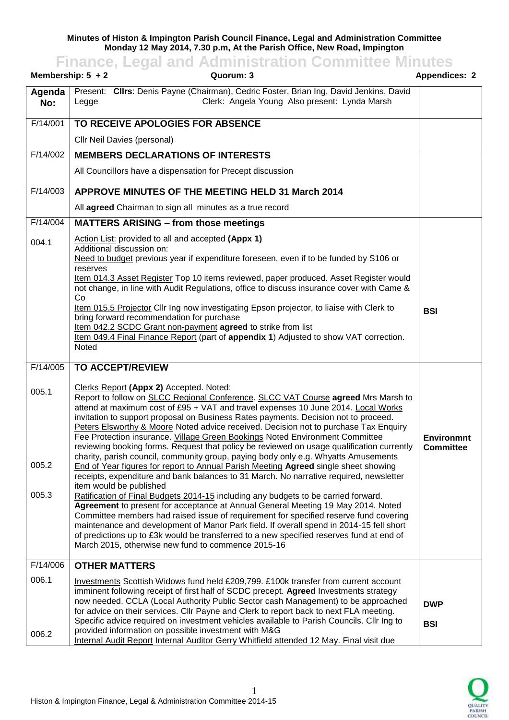## **Minutes of Histon & Impington Parish Council Finance, Legal and Administration Committee Monday 12 May 2014, 7.30 p.m, At the Parish Office, New Road, Impington**

**Finance, Legal and Administration Committee Minutes**

|               | Membership: $5 + 2$<br>Quorum: 3                                                                                                                                                                                                                                                                                                                                                                                                                                                                                                                                                                                                                                    | <b>Appendices: 2</b>           |
|---------------|---------------------------------------------------------------------------------------------------------------------------------------------------------------------------------------------------------------------------------------------------------------------------------------------------------------------------------------------------------------------------------------------------------------------------------------------------------------------------------------------------------------------------------------------------------------------------------------------------------------------------------------------------------------------|--------------------------------|
| Agenda<br>No: | Present: Clirs: Denis Payne (Chairman), Cedric Foster, Brian Ing, David Jenkins, David<br>Clerk: Angela Young Also present: Lynda Marsh<br>Legge                                                                                                                                                                                                                                                                                                                                                                                                                                                                                                                    |                                |
| F/14/001      | TO RECEIVE APOLOGIES FOR ABSENCE                                                                                                                                                                                                                                                                                                                                                                                                                                                                                                                                                                                                                                    |                                |
|               | Cllr Neil Davies (personal)                                                                                                                                                                                                                                                                                                                                                                                                                                                                                                                                                                                                                                         |                                |
| F/14/002      | <b>MEMBERS DECLARATIONS OF INTERESTS</b>                                                                                                                                                                                                                                                                                                                                                                                                                                                                                                                                                                                                                            |                                |
|               | All Councillors have a dispensation for Precept discussion                                                                                                                                                                                                                                                                                                                                                                                                                                                                                                                                                                                                          |                                |
| F/14/003      | APPROVE MINUTES OF THE MEETING HELD 31 March 2014                                                                                                                                                                                                                                                                                                                                                                                                                                                                                                                                                                                                                   |                                |
|               | All agreed Chairman to sign all minutes as a true record                                                                                                                                                                                                                                                                                                                                                                                                                                                                                                                                                                                                            |                                |
| F/14/004      | <b>MATTERS ARISING - from those meetings</b>                                                                                                                                                                                                                                                                                                                                                                                                                                                                                                                                                                                                                        |                                |
| 004.1         | Action List: provided to all and accepted (Appx 1)<br>Additional discussion on:<br>Need to budget previous year if expenditure foreseen, even if to be funded by S106 or                                                                                                                                                                                                                                                                                                                                                                                                                                                                                            |                                |
|               | reserves<br>Item 014.3 Asset Register Top 10 items reviewed, paper produced. Asset Register would<br>not change, in line with Audit Regulations, office to discuss insurance cover with Came &<br>Co                                                                                                                                                                                                                                                                                                                                                                                                                                                                |                                |
|               | Item 015.5 Projector Cllr Ing now investigating Epson projector, to liaise with Clerk to<br>bring forward recommendation for purchase<br>Item 042.2 SCDC Grant non-payment agreed to strike from list<br>Item 049.4 Final Finance Report (part of appendix 1) Adjusted to show VAT correction.<br>Noted                                                                                                                                                                                                                                                                                                                                                             | <b>BSI</b>                     |
|               |                                                                                                                                                                                                                                                                                                                                                                                                                                                                                                                                                                                                                                                                     |                                |
| F/14/005      | <b>TO ACCEPT/REVIEW</b>                                                                                                                                                                                                                                                                                                                                                                                                                                                                                                                                                                                                                                             |                                |
| 005.1         | Clerks Report (Appx 2) Accepted. Noted:<br>Report to follow on SLCC Regional Conference. SLCC VAT Course agreed Mrs Marsh to<br>attend at maximum cost of £95 + VAT and travel expenses 10 June 2014. Local Works<br>invitation to support proposal on Business Rates payments. Decision not to proceed.<br>Peters Elsworthy & Moore Noted advice received. Decision not to purchase Tax Enquiry<br>Fee Protection insurance. Village Green Bookings Noted Environment Committee<br>reviewing booking forms. Request that policy be reviewed on usage qualification currently<br>charity, parish council, community group, paying body only e.g. Whyatts Amusements | Environmnt<br><b>Committee</b> |
| 005.2         | End of Year figures for report to Annual Parish Meeting Agreed single sheet showing<br>receipts, expenditure and bank balances to 31 March. No narrative required, newsletter<br>item would be published                                                                                                                                                                                                                                                                                                                                                                                                                                                            |                                |
| 005.3         | Ratification of Final Budgets 2014-15 including any budgets to be carried forward.<br>Agreement to present for acceptance at Annual General Meeting 19 May 2014. Noted<br>Committee members had raised issue of requirement for specified reserve fund covering<br>maintenance and development of Manor Park field. If overall spend in 2014-15 fell short<br>of predictions up to £3k would be transferred to a new specified reserves fund at end of<br>March 2015, otherwise new fund to commence 2015-16                                                                                                                                                        |                                |
| F/14/006      | <b>OTHER MATTERS</b>                                                                                                                                                                                                                                                                                                                                                                                                                                                                                                                                                                                                                                                |                                |
| 006.1         | Investments Scottish Widows fund held £209,799. £100k transfer from current account<br>imminent following receipt of first half of SCDC precept. Agreed Investments strategy<br>now needed. CCLA (Local Authority Public Sector cash Management) to be approached<br>for advice on their services. Cllr Payne and Clerk to report back to next FLA meeting.<br>Specific advice required on investment vehicles available to Parish Councils. Cllr Ing to                                                                                                                                                                                                            | <b>DWP</b><br><b>BSI</b>       |
| 006.2         | provided information on possible investment with M&G<br>Internal Audit Report Internal Auditor Gerry Whitfield attended 12 May. Final visit due                                                                                                                                                                                                                                                                                                                                                                                                                                                                                                                     |                                |